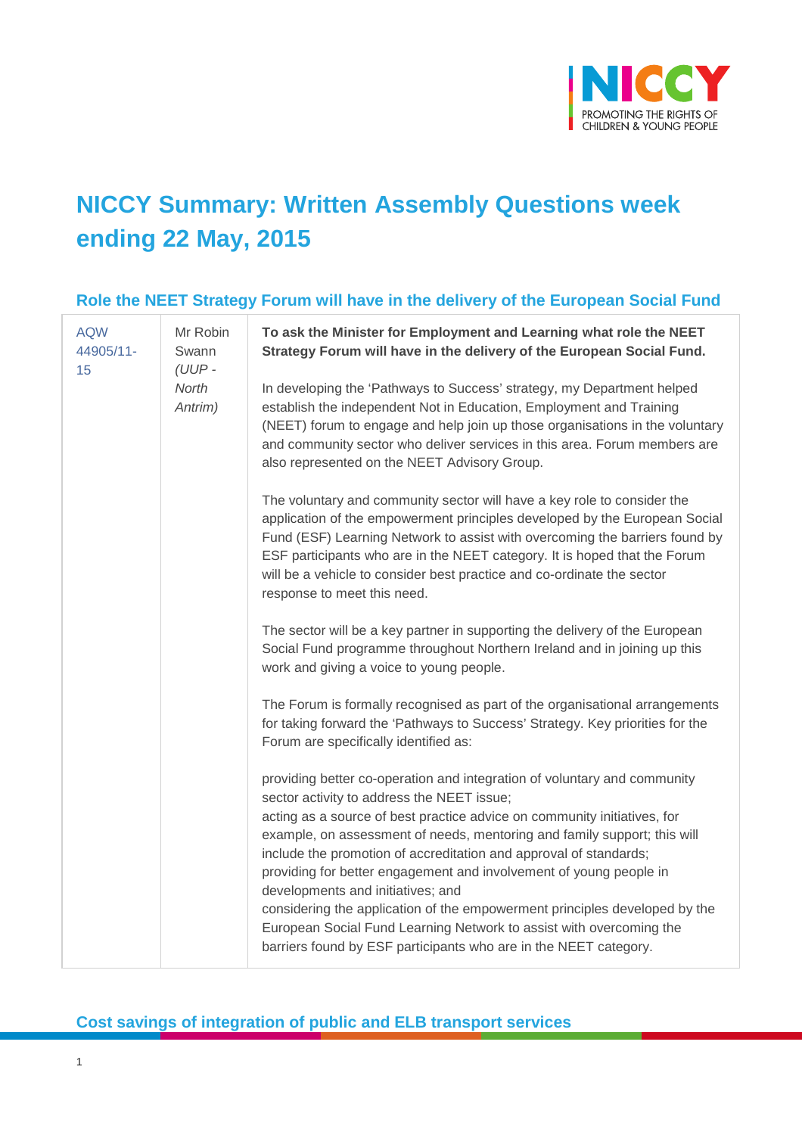

# **NICCY Summary: Written Assembly Questions week ending 22 May, 2015**

#### **Role the NEET Strategy Forum will have in the delivery of the European Social Fund**

| <b>AQW</b><br>44905/11-<br>15 <sub>15</sub> | Mr Robin<br>Swann<br>$(UUP -$<br>North<br>Antrim) | To ask the Minister for Employment and Learning what role the NEET<br>Strategy Forum will have in the delivery of the European Social Fund.                                                                                                                                                                                                                                                                                                                                                                                                                                                                                                                                             |
|---------------------------------------------|---------------------------------------------------|-----------------------------------------------------------------------------------------------------------------------------------------------------------------------------------------------------------------------------------------------------------------------------------------------------------------------------------------------------------------------------------------------------------------------------------------------------------------------------------------------------------------------------------------------------------------------------------------------------------------------------------------------------------------------------------------|
|                                             |                                                   | In developing the 'Pathways to Success' strategy, my Department helped<br>establish the independent Not in Education, Employment and Training<br>(NEET) forum to engage and help join up those organisations in the voluntary<br>and community sector who deliver services in this area. Forum members are<br>also represented on the NEET Advisory Group.                                                                                                                                                                                                                                                                                                                              |
|                                             |                                                   | The voluntary and community sector will have a key role to consider the<br>application of the empowerment principles developed by the European Social<br>Fund (ESF) Learning Network to assist with overcoming the barriers found by<br>ESF participants who are in the NEET category. It is hoped that the Forum<br>will be a vehicle to consider best practice and co-ordinate the sector<br>response to meet this need.                                                                                                                                                                                                                                                              |
|                                             |                                                   | The sector will be a key partner in supporting the delivery of the European<br>Social Fund programme throughout Northern Ireland and in joining up this<br>work and giving a voice to young people.                                                                                                                                                                                                                                                                                                                                                                                                                                                                                     |
|                                             |                                                   | The Forum is formally recognised as part of the organisational arrangements<br>for taking forward the 'Pathways to Success' Strategy. Key priorities for the<br>Forum are specifically identified as:                                                                                                                                                                                                                                                                                                                                                                                                                                                                                   |
|                                             |                                                   | providing better co-operation and integration of voluntary and community<br>sector activity to address the NEET issue;<br>acting as a source of best practice advice on community initiatives, for<br>example, on assessment of needs, mentoring and family support; this will<br>include the promotion of accreditation and approval of standards;<br>providing for better engagement and involvement of young people in<br>developments and initiatives; and<br>considering the application of the empowerment principles developed by the<br>European Social Fund Learning Network to assist with overcoming the<br>barriers found by ESF participants who are in the NEET category. |

#### **Cost savings of integration of public and ELB transport services**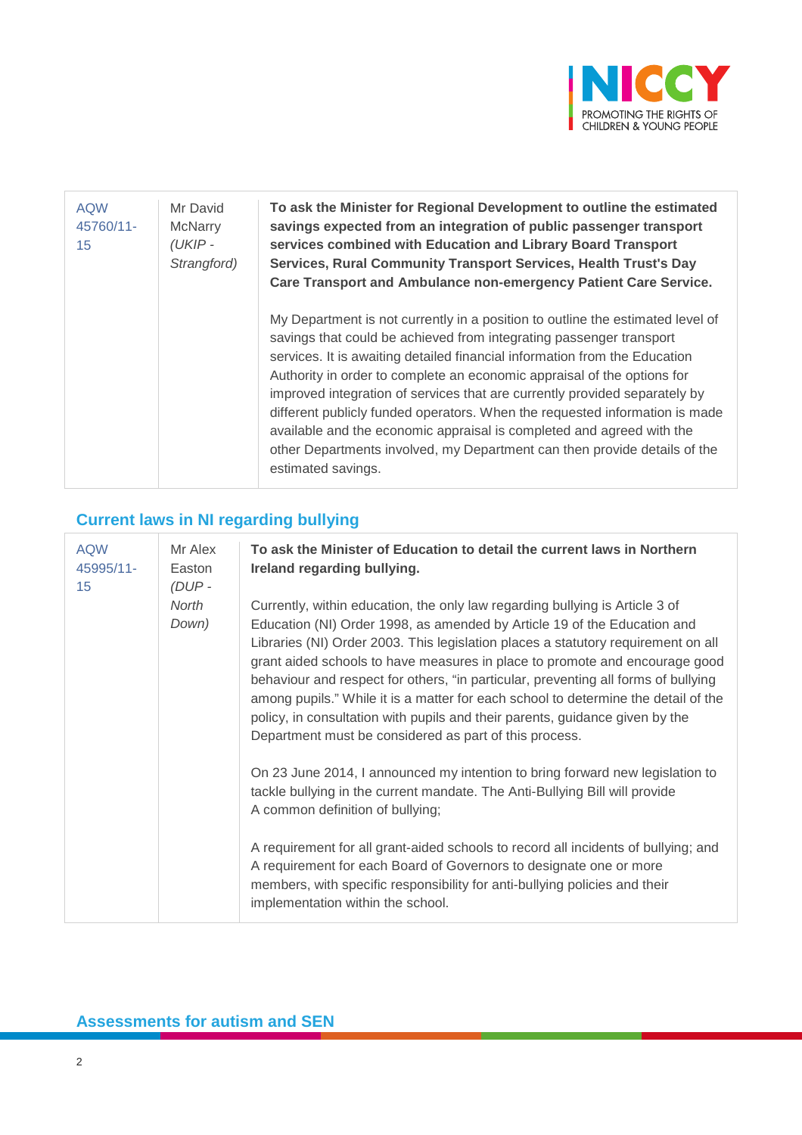

| <b>AQW</b><br>45760/11-<br>15 | Mr David<br><b>McNarry</b><br>(UKIP-<br>Strangford) | To ask the Minister for Regional Development to outline the estimated<br>savings expected from an integration of public passenger transport<br>services combined with Education and Library Board Transport<br>Services, Rural Community Transport Services, Health Trust's Day<br>Care Transport and Ambulance non-emergency Patient Care Service.                                                                                                                                                                                                                                                                                                     |
|-------------------------------|-----------------------------------------------------|---------------------------------------------------------------------------------------------------------------------------------------------------------------------------------------------------------------------------------------------------------------------------------------------------------------------------------------------------------------------------------------------------------------------------------------------------------------------------------------------------------------------------------------------------------------------------------------------------------------------------------------------------------|
|                               |                                                     | My Department is not currently in a position to outline the estimated level of<br>savings that could be achieved from integrating passenger transport<br>services. It is awaiting detailed financial information from the Education<br>Authority in order to complete an economic appraisal of the options for<br>improved integration of services that are currently provided separately by<br>different publicly funded operators. When the requested information is made<br>available and the economic appraisal is completed and agreed with the<br>other Departments involved, my Department can then provide details of the<br>estimated savings. |

# **Current laws in NI regarding bullying**

| <b>AQW</b><br>45995/11-<br>15 | Mr Alex<br>Easton<br>$(DUP -$<br>North<br>Down) | To ask the Minister of Education to detail the current laws in Northern<br>Ireland regarding bullying.                                                                                                                                                                                                                                                                                                                                                                                                                                                                                                                                             |
|-------------------------------|-------------------------------------------------|----------------------------------------------------------------------------------------------------------------------------------------------------------------------------------------------------------------------------------------------------------------------------------------------------------------------------------------------------------------------------------------------------------------------------------------------------------------------------------------------------------------------------------------------------------------------------------------------------------------------------------------------------|
|                               |                                                 | Currently, within education, the only law regarding bullying is Article 3 of<br>Education (NI) Order 1998, as amended by Article 19 of the Education and<br>Libraries (NI) Order 2003. This legislation places a statutory requirement on all<br>grant aided schools to have measures in place to promote and encourage good<br>behaviour and respect for others, "in particular, preventing all forms of bullying<br>among pupils." While it is a matter for each school to determine the detail of the<br>policy, in consultation with pupils and their parents, guidance given by the<br>Department must be considered as part of this process. |
|                               |                                                 | On 23 June 2014, I announced my intention to bring forward new legislation to<br>tackle bullying in the current mandate. The Anti-Bullying Bill will provide<br>A common definition of bullying;                                                                                                                                                                                                                                                                                                                                                                                                                                                   |
|                               |                                                 | A requirement for all grant-aided schools to record all incidents of bullying; and<br>A requirement for each Board of Governors to designate one or more<br>members, with specific responsibility for anti-bullying policies and their<br>implementation within the school.                                                                                                                                                                                                                                                                                                                                                                        |

# **Assessments for autism and SEN**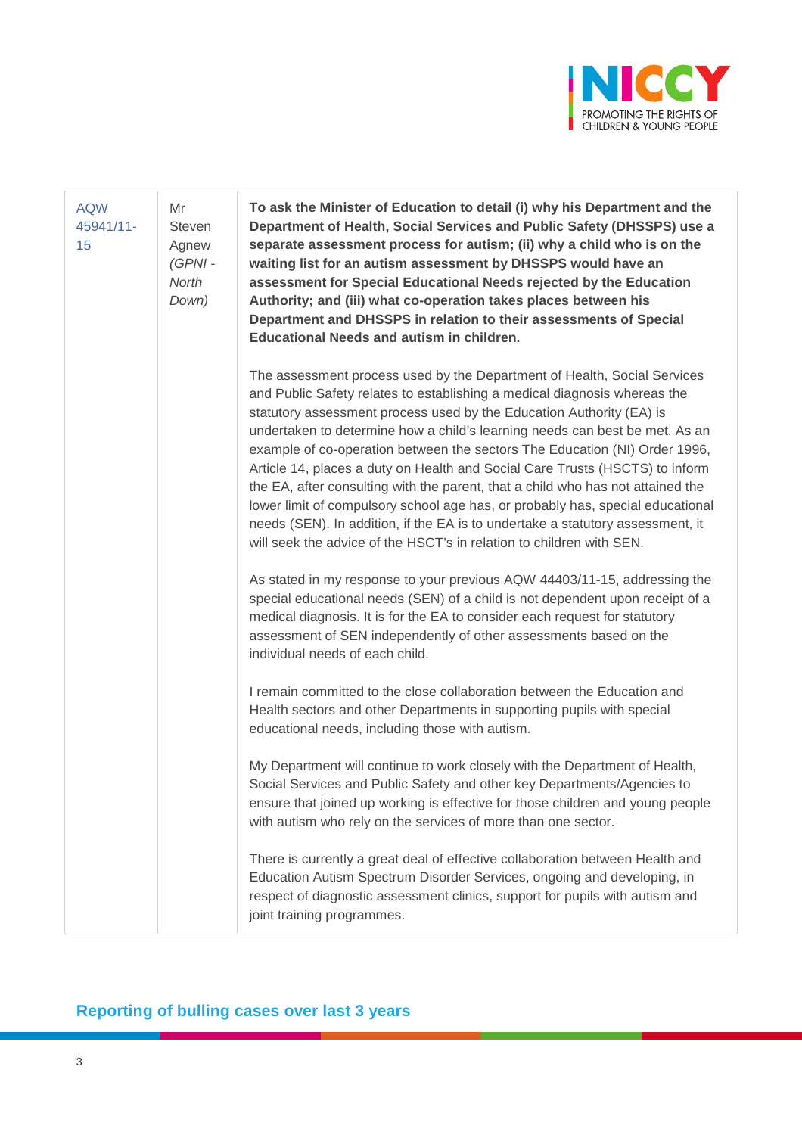

| <b>AQW</b><br>45941/11-<br>15 | Mr<br><b>Steven</b><br>Agnew<br>(GPNI-<br>North<br>Down) | To ask the Minister of Education to detail (i) why his Department and the<br>Department of Health, Social Services and Public Safety (DHSSPS) use a<br>separate assessment process for autism; (ii) why a child who is on the<br>waiting list for an autism assessment by DHSSPS would have an<br>assessment for Special Educational Needs rejected by the Education<br>Authority; and (iii) what co-operation takes places between his<br>Department and DHSSPS in relation to their assessments of Special<br><b>Educational Needs and autism in children.</b>                                                                                                                                                                                                                                          |
|-------------------------------|----------------------------------------------------------|-----------------------------------------------------------------------------------------------------------------------------------------------------------------------------------------------------------------------------------------------------------------------------------------------------------------------------------------------------------------------------------------------------------------------------------------------------------------------------------------------------------------------------------------------------------------------------------------------------------------------------------------------------------------------------------------------------------------------------------------------------------------------------------------------------------|
|                               |                                                          | The assessment process used by the Department of Health, Social Services<br>and Public Safety relates to establishing a medical diagnosis whereas the<br>statutory assessment process used by the Education Authority (EA) is<br>undertaken to determine how a child's learning needs can best be met. As an<br>example of co-operation between the sectors The Education (NI) Order 1996,<br>Article 14, places a duty on Health and Social Care Trusts (HSCTS) to inform<br>the EA, after consulting with the parent, that a child who has not attained the<br>lower limit of compulsory school age has, or probably has, special educational<br>needs (SEN). In addition, if the EA is to undertake a statutory assessment, it<br>will seek the advice of the HSCT's in relation to children with SEN. |
|                               |                                                          | As stated in my response to your previous AQW 44403/11-15, addressing the<br>special educational needs (SEN) of a child is not dependent upon receipt of a<br>medical diagnosis. It is for the EA to consider each request for statutory<br>assessment of SEN independently of other assessments based on the<br>individual needs of each child.                                                                                                                                                                                                                                                                                                                                                                                                                                                          |
|                               |                                                          | I remain committed to the close collaboration between the Education and<br>Health sectors and other Departments in supporting pupils with special<br>educational needs, including those with autism.                                                                                                                                                                                                                                                                                                                                                                                                                                                                                                                                                                                                      |
|                               |                                                          | My Department will continue to work closely with the Department of Health,<br>Social Services and Public Safety and other key Departments/Agencies to<br>ensure that joined up working is effective for those children and young people<br>with autism who rely on the services of more than one sector.                                                                                                                                                                                                                                                                                                                                                                                                                                                                                                  |
|                               |                                                          | There is currently a great deal of effective collaboration between Health and<br>Education Autism Spectrum Disorder Services, ongoing and developing, in<br>respect of diagnostic assessment clinics, support for pupils with autism and<br>joint training programmes.                                                                                                                                                                                                                                                                                                                                                                                                                                                                                                                                    |

# **Reporting of bulling cases over last 3 years**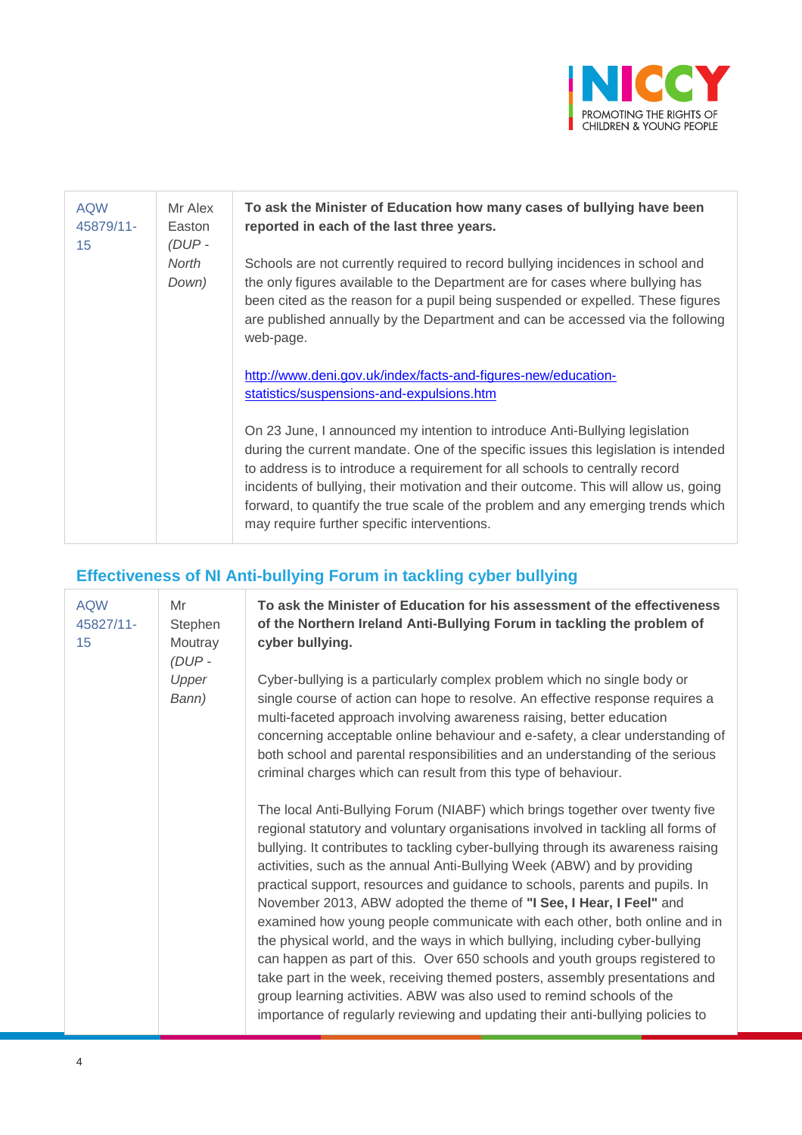

| <b>AQW</b><br>45879/11-<br>15 | Mr Alex<br>Easton<br>$(DUP -$ | To ask the Minister of Education how many cases of bullying have been<br>reported in each of the last three years.                                                                                                                                                                                                                                                                                                                                                            |
|-------------------------------|-------------------------------|-------------------------------------------------------------------------------------------------------------------------------------------------------------------------------------------------------------------------------------------------------------------------------------------------------------------------------------------------------------------------------------------------------------------------------------------------------------------------------|
|                               | North<br>Down)                | Schools are not currently required to record bullying incidences in school and<br>the only figures available to the Department are for cases where bullying has<br>been cited as the reason for a pupil being suspended or expelled. These figures<br>are published annually by the Department and can be accessed via the following<br>web-page.                                                                                                                             |
|                               |                               | http://www.deni.gov.uk/index/facts-and-figures-new/education-<br>statistics/suspensions-and-expulsions.htm                                                                                                                                                                                                                                                                                                                                                                    |
|                               |                               | On 23 June, I announced my intention to introduce Anti-Bullying legislation<br>during the current mandate. One of the specific issues this legislation is intended<br>to address is to introduce a requirement for all schools to centrally record<br>incidents of bullying, their motivation and their outcome. This will allow us, going<br>forward, to quantify the true scale of the problem and any emerging trends which<br>may require further specific interventions. |

# **Effectiveness of NI Anti-bullying Forum in tackling cyber bullying**

| <b>AQW</b><br>45827/11-<br>15 | Mr<br>Stephen<br>Moutray<br>$(DUP -$ | To ask the Minister of Education for his assessment of the effectiveness<br>of the Northern Ireland Anti-Bullying Forum in tackling the problem of<br>cyber bullying.                                                                                                                                                                                                                                                                                                                                                                                                                                                                                                                                                                                                                                                                                                                                                                                                          |
|-------------------------------|--------------------------------------|--------------------------------------------------------------------------------------------------------------------------------------------------------------------------------------------------------------------------------------------------------------------------------------------------------------------------------------------------------------------------------------------------------------------------------------------------------------------------------------------------------------------------------------------------------------------------------------------------------------------------------------------------------------------------------------------------------------------------------------------------------------------------------------------------------------------------------------------------------------------------------------------------------------------------------------------------------------------------------|
|                               | Upper<br>Bann)                       | Cyber-bullying is a particularly complex problem which no single body or<br>single course of action can hope to resolve. An effective response requires a<br>multi-faceted approach involving awareness raising, better education<br>concerning acceptable online behaviour and e-safety, a clear understanding of<br>both school and parental responsibilities and an understanding of the serious<br>criminal charges which can result from this type of behaviour.                                                                                                                                                                                                                                                                                                                                                                                                                                                                                                          |
|                               |                                      | The local Anti-Bullying Forum (NIABF) which brings together over twenty five<br>regional statutory and voluntary organisations involved in tackling all forms of<br>bullying. It contributes to tackling cyber-bullying through its awareness raising<br>activities, such as the annual Anti-Bullying Week (ABW) and by providing<br>practical support, resources and guidance to schools, parents and pupils. In<br>November 2013, ABW adopted the theme of "I See, I Hear, I Feel" and<br>examined how young people communicate with each other, both online and in<br>the physical world, and the ways in which bullying, including cyber-bullying<br>can happen as part of this. Over 650 schools and youth groups registered to<br>take part in the week, receiving themed posters, assembly presentations and<br>group learning activities. ABW was also used to remind schools of the<br>importance of regularly reviewing and updating their anti-bullying policies to |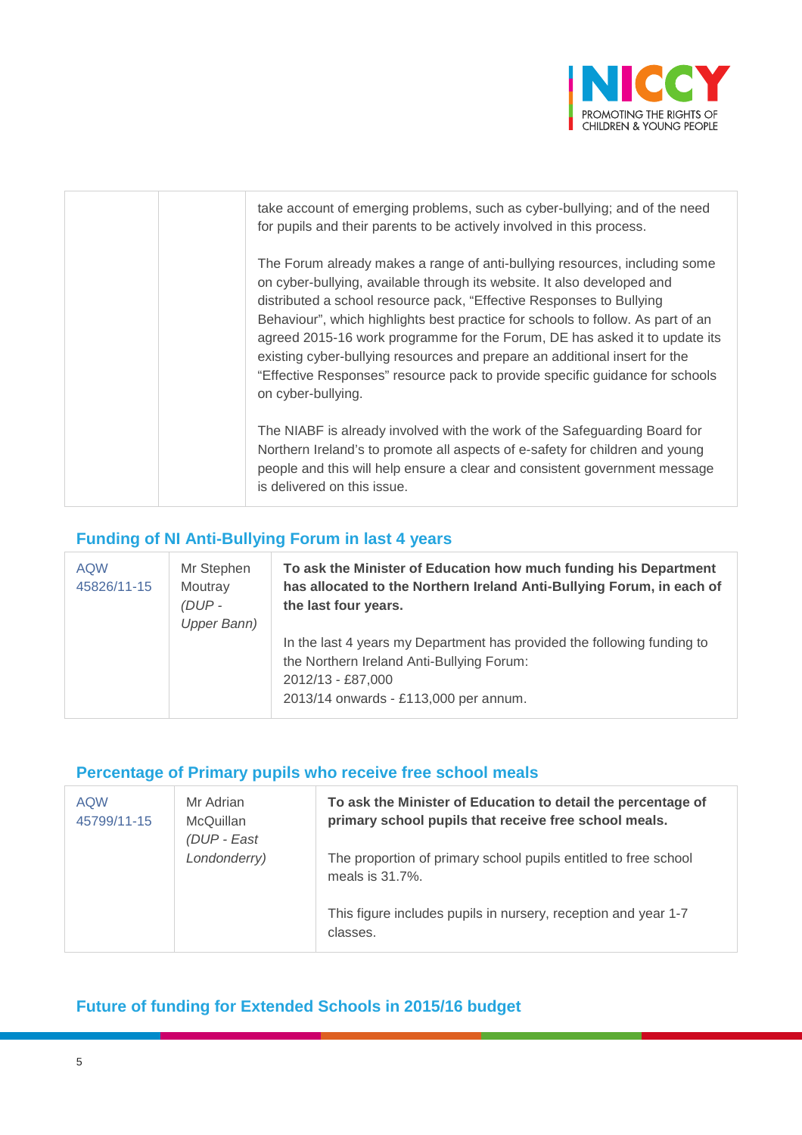

| take account of emerging problems, such as cyber-bullying; and of the need<br>for pupils and their parents to be actively involved in this process.                                                                                                                                                                                                                                                                                                                                                                                                                                |
|------------------------------------------------------------------------------------------------------------------------------------------------------------------------------------------------------------------------------------------------------------------------------------------------------------------------------------------------------------------------------------------------------------------------------------------------------------------------------------------------------------------------------------------------------------------------------------|
| The Forum already makes a range of anti-bullying resources, including some<br>on cyber-bullying, available through its website. It also developed and<br>distributed a school resource pack, "Effective Responses to Bullying<br>Behaviour", which highlights best practice for schools to follow. As part of an<br>agreed 2015-16 work programme for the Forum, DE has asked it to update its<br>existing cyber-bullying resources and prepare an additional insert for the<br>"Effective Responses" resource pack to provide specific guidance for schools<br>on cyber-bullying. |
| The NIABF is already involved with the work of the Safeguarding Board for<br>Northern Ireland's to promote all aspects of e-safety for children and young<br>people and this will help ensure a clear and consistent government message<br>is delivered on this issue.                                                                                                                                                                                                                                                                                                             |

### **Funding of NI Anti-Bullying Forum in last 4 years**

| <b>AQW</b><br>45826/11-15 | Mr Stephen<br>Moutray<br>$(DUP -$<br>Upper Bann) | To ask the Minister of Education how much funding his Department<br>has allocated to the Northern Ireland Anti-Bullying Forum, in each of<br>the last four years.                  |
|---------------------------|--------------------------------------------------|------------------------------------------------------------------------------------------------------------------------------------------------------------------------------------|
|                           |                                                  | In the last 4 years my Department has provided the following funding to<br>the Northern Ireland Anti-Bullying Forum:<br>2012/13 - £87,000<br>2013/14 onwards - £113,000 per annum. |

#### **Percentage of Primary pupils who receive free school meals**

| <b>AQW</b><br>45799/11-15 | Mr Adrian<br><b>McQuillan</b><br>(DUP - East | To ask the Minister of Education to detail the percentage of<br>primary school pupils that receive free school meals. |
|---------------------------|----------------------------------------------|-----------------------------------------------------------------------------------------------------------------------|
|                           | Londonderry)                                 | The proportion of primary school pupils entitled to free school<br>meals is 31.7%.                                    |
|                           |                                              | This figure includes pupils in nursery, reception and year 1-7<br>classes.                                            |

### **Future of funding for Extended Schools in 2015/16 budget**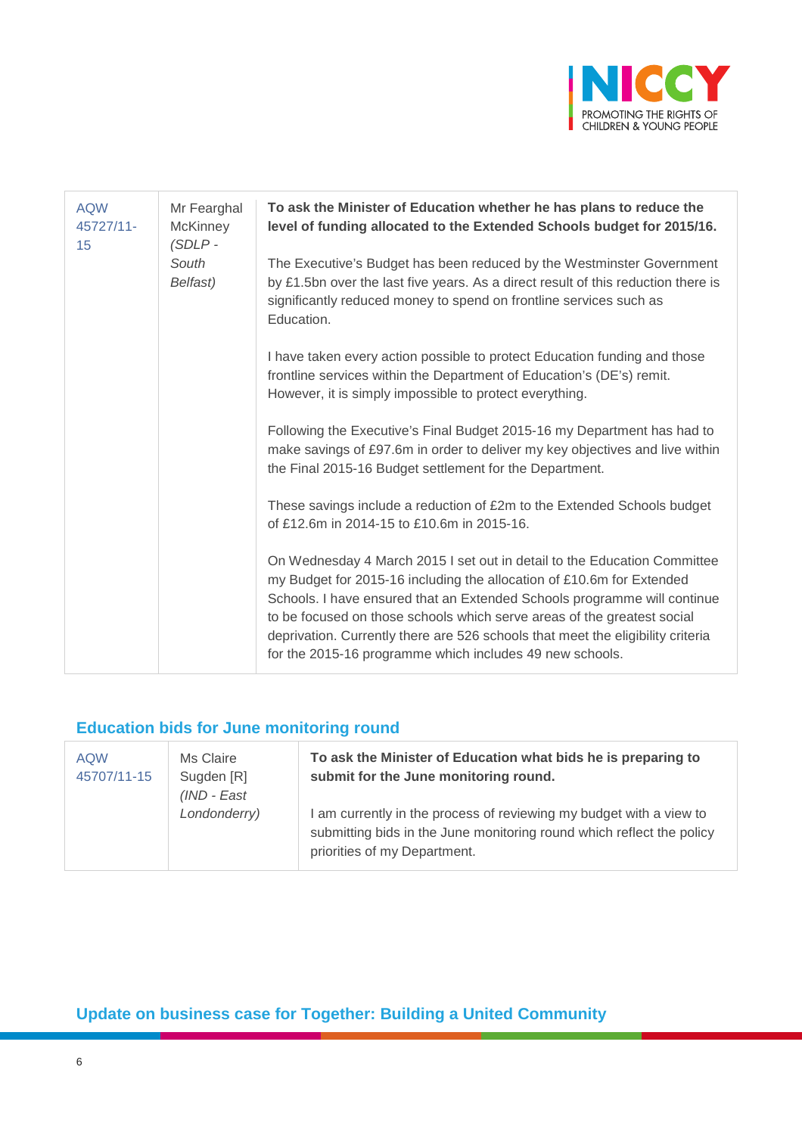

| <b>AQW</b><br>45727/11-<br>15 | Mr Fearghal<br><b>McKinney</b><br>$(SDLP -$ | To ask the Minister of Education whether he has plans to reduce the<br>level of funding allocated to the Extended Schools budget for 2015/16.                                                                                                                                                                                                                                                                                                           |
|-------------------------------|---------------------------------------------|---------------------------------------------------------------------------------------------------------------------------------------------------------------------------------------------------------------------------------------------------------------------------------------------------------------------------------------------------------------------------------------------------------------------------------------------------------|
|                               | South<br>Belfast)                           | The Executive's Budget has been reduced by the Westminster Government<br>by £1.5bn over the last five years. As a direct result of this reduction there is<br>significantly reduced money to spend on frontline services such as<br>Education.                                                                                                                                                                                                          |
|                               |                                             | I have taken every action possible to protect Education funding and those<br>frontline services within the Department of Education's (DE's) remit.<br>However, it is simply impossible to protect everything.                                                                                                                                                                                                                                           |
|                               |                                             | Following the Executive's Final Budget 2015-16 my Department has had to<br>make savings of £97.6m in order to deliver my key objectives and live within<br>the Final 2015-16 Budget settlement for the Department.                                                                                                                                                                                                                                      |
|                               |                                             | These savings include a reduction of £2m to the Extended Schools budget<br>of £12.6m in 2014-15 to £10.6m in 2015-16.                                                                                                                                                                                                                                                                                                                                   |
|                               |                                             | On Wednesday 4 March 2015 I set out in detail to the Education Committee<br>my Budget for 2015-16 including the allocation of £10.6m for Extended<br>Schools. I have ensured that an Extended Schools programme will continue<br>to be focused on those schools which serve areas of the greatest social<br>deprivation. Currently there are 526 schools that meet the eligibility criteria<br>for the 2015-16 programme which includes 49 new schools. |

### **Education bids for June monitoring round**

| <b>AQW</b><br>45707/11-15 | Ms Claire<br>Sugden [R]<br>$(IND - East)$ | To ask the Minister of Education what bids he is preparing to<br>submit for the June monitoring round.                                                                       |
|---------------------------|-------------------------------------------|------------------------------------------------------------------------------------------------------------------------------------------------------------------------------|
|                           | Londonderry)                              | I am currently in the process of reviewing my budget with a view to<br>submitting bids in the June monitoring round which reflect the policy<br>priorities of my Department. |

# **Update on business case for Together: Building a United Community**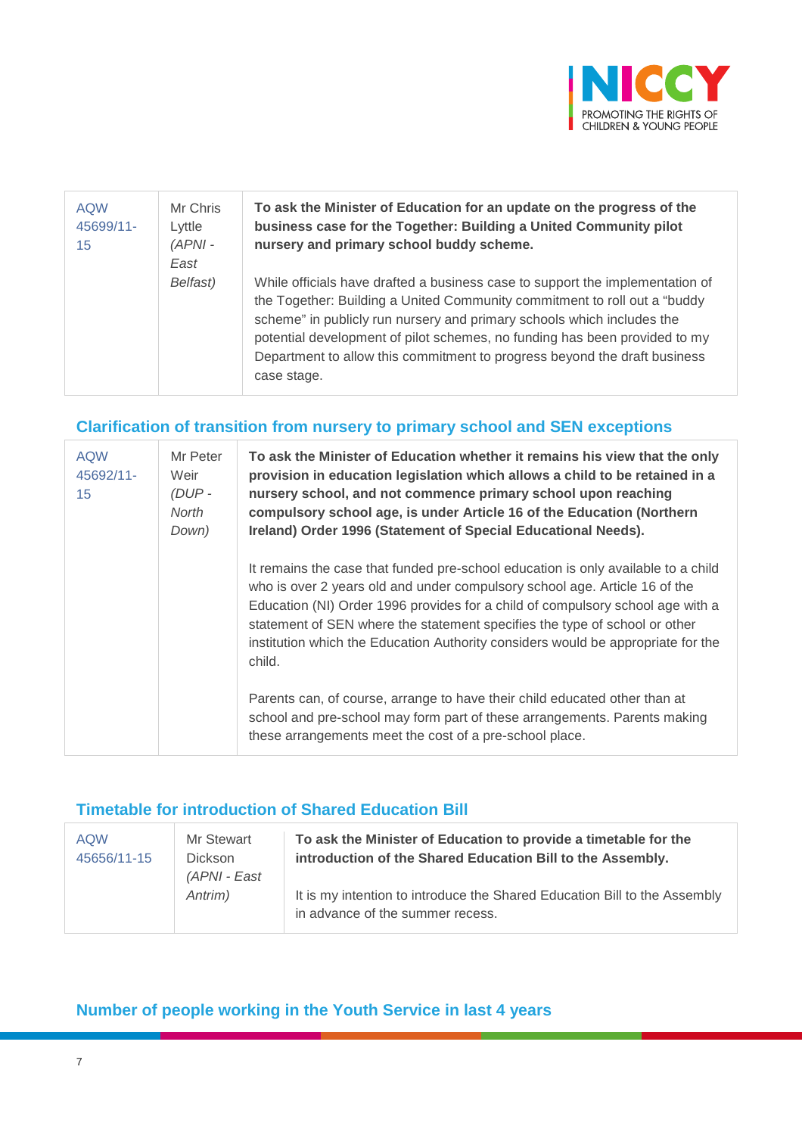

| <b>AQW</b><br>45699/11-<br>15 | Mr Chris<br>Lyttle<br>$(APNI -$<br>East | To ask the Minister of Education for an update on the progress of the<br>business case for the Together: Building a United Community pilot<br>nursery and primary school buddy scheme.                                                                                                                                                                                                                          |
|-------------------------------|-----------------------------------------|-----------------------------------------------------------------------------------------------------------------------------------------------------------------------------------------------------------------------------------------------------------------------------------------------------------------------------------------------------------------------------------------------------------------|
|                               | Belfast)                                | While officials have drafted a business case to support the implementation of<br>the Together: Building a United Community commitment to roll out a "buddy"<br>scheme" in publicly run nursery and primary schools which includes the<br>potential development of pilot schemes, no funding has been provided to my<br>Department to allow this commitment to progress beyond the draft business<br>case stage. |

### **Clarification of transition from nursery to primary school and SEN exceptions**

| <b>AQW</b><br>45692/11-<br>15 | Mr Peter<br>Weir<br>$(DUP -$<br>North<br>Down) | To ask the Minister of Education whether it remains his view that the only<br>provision in education legislation which allows a child to be retained in a<br>nursery school, and not commence primary school upon reaching<br>compulsory school age, is under Article 16 of the Education (Northern<br>Ireland) Order 1996 (Statement of Special Educational Needs).                                                          |
|-------------------------------|------------------------------------------------|-------------------------------------------------------------------------------------------------------------------------------------------------------------------------------------------------------------------------------------------------------------------------------------------------------------------------------------------------------------------------------------------------------------------------------|
|                               |                                                | It remains the case that funded pre-school education is only available to a child<br>who is over 2 years old and under compulsory school age. Article 16 of the<br>Education (NI) Order 1996 provides for a child of compulsory school age with a<br>statement of SEN where the statement specifies the type of school or other<br>institution which the Education Authority considers would be appropriate for the<br>child. |
|                               |                                                | Parents can, of course, arrange to have their child educated other than at<br>school and pre-school may form part of these arrangements. Parents making<br>these arrangements meet the cost of a pre-school place.                                                                                                                                                                                                            |

### **Timetable for introduction of Shared Education Bill**

| <b>AQW</b><br>45656/11-15 | Mr Stewart<br><b>Dickson</b><br>(APNI - East | To ask the Minister of Education to provide a timetable for the<br>introduction of the Shared Education Bill to the Assembly. |
|---------------------------|----------------------------------------------|-------------------------------------------------------------------------------------------------------------------------------|
|                           | Antrim)                                      | It is my intention to introduce the Shared Education Bill to the Assembly<br>in advance of the summer recess.                 |

**Number of people working in the Youth Service in last 4 years**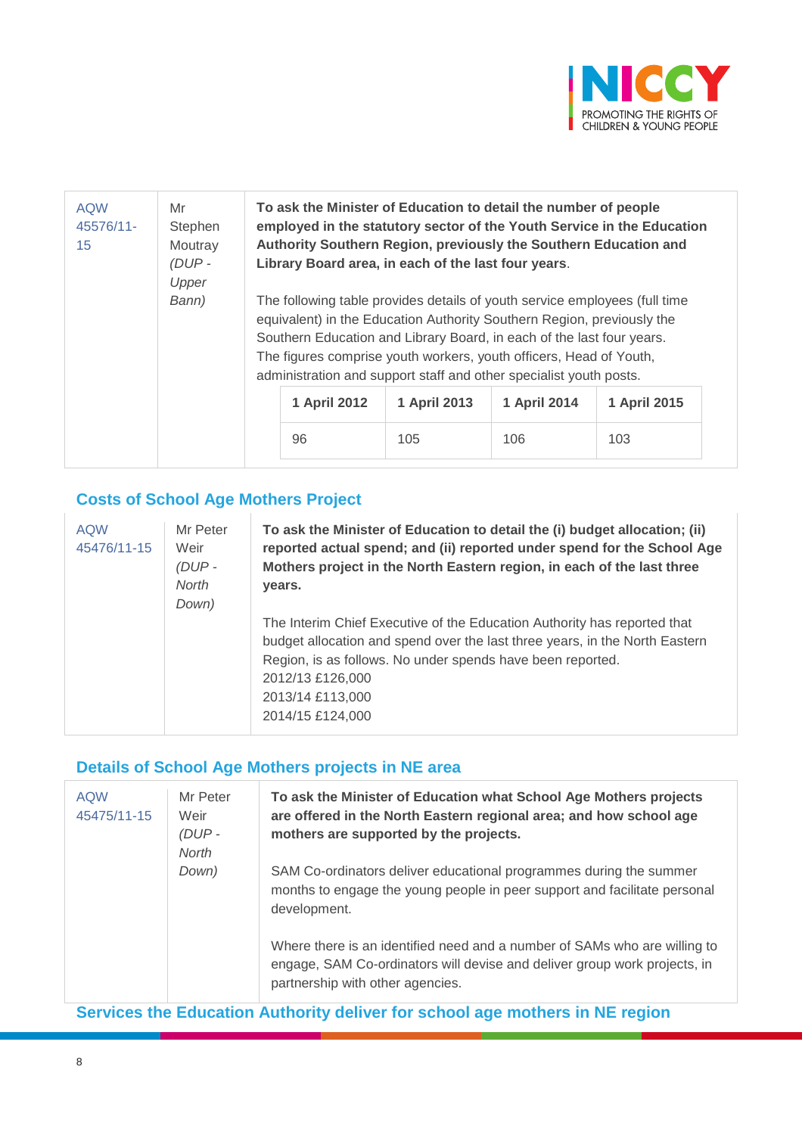

| <b>AQW</b><br>45576/11-<br>15 | Mr<br>Stephen<br>Moutray<br>$(DUP -$<br>Upper | To ask the Minister of Education to detail the number of people<br>employed in the statutory sector of the Youth Service in the Education<br>Authority Southern Region, previously the Southern Education and<br>Library Board area, in each of the last four years.                                                                                                      |              |              |              |
|-------------------------------|-----------------------------------------------|---------------------------------------------------------------------------------------------------------------------------------------------------------------------------------------------------------------------------------------------------------------------------------------------------------------------------------------------------------------------------|--------------|--------------|--------------|
|                               | Bann)                                         | The following table provides details of youth service employees (full time<br>equivalent) in the Education Authority Southern Region, previously the<br>Southern Education and Library Board, in each of the last four years.<br>The figures comprise youth workers, youth officers, Head of Youth,<br>administration and support staff and other specialist youth posts. |              |              |              |
|                               |                                               | 1 April 2012                                                                                                                                                                                                                                                                                                                                                              | 1 April 2013 | 1 April 2014 | 1 April 2015 |
|                               |                                               | 96                                                                                                                                                                                                                                                                                                                                                                        | 105          | 106          | 103          |

# **Costs of School Age Mothers Project**

| <b>AQW</b><br>Mr Peter<br>45476/11-15<br>Weir<br>$(DUP -$<br><b>North</b><br>Down) | To ask the Minister of Education to detail the (i) budget allocation; (ii)<br>reported actual spend; and (ii) reported under spend for the School Age<br>Mothers project in the North Eastern region, in each of the last three<br>vears.<br>The Interim Chief Executive of the Education Authority has reported that<br>budget allocation and spend over the last three years, in the North Eastern<br>Region, is as follows. No under spends have been reported.<br>2012/13 £126,000<br>2013/14 £113,000<br>2014/15 £124,000 |
|------------------------------------------------------------------------------------|--------------------------------------------------------------------------------------------------------------------------------------------------------------------------------------------------------------------------------------------------------------------------------------------------------------------------------------------------------------------------------------------------------------------------------------------------------------------------------------------------------------------------------|
|------------------------------------------------------------------------------------|--------------------------------------------------------------------------------------------------------------------------------------------------------------------------------------------------------------------------------------------------------------------------------------------------------------------------------------------------------------------------------------------------------------------------------------------------------------------------------------------------------------------------------|

# **Details of School Age Mothers projects in NE area**

| <b>AQW</b><br>45475/11-15 | Mr Peter<br>Weir<br>(DUP-<br><b>North</b> | To ask the Minister of Education what School Age Mothers projects<br>are offered in the North Eastern regional area; and how school age<br>mothers are supported by the projects.          |
|---------------------------|-------------------------------------------|--------------------------------------------------------------------------------------------------------------------------------------------------------------------------------------------|
|                           | Down)                                     | SAM Co-ordinators deliver educational programmes during the summer<br>months to engage the young people in peer support and facilitate personal<br>development.                            |
|                           |                                           | Where there is an identified need and a number of SAMs who are willing to<br>engage, SAM Co-ordinators will devise and deliver group work projects, in<br>partnership with other agencies. |

**Services the Education Authority deliver for school age mothers in NE region**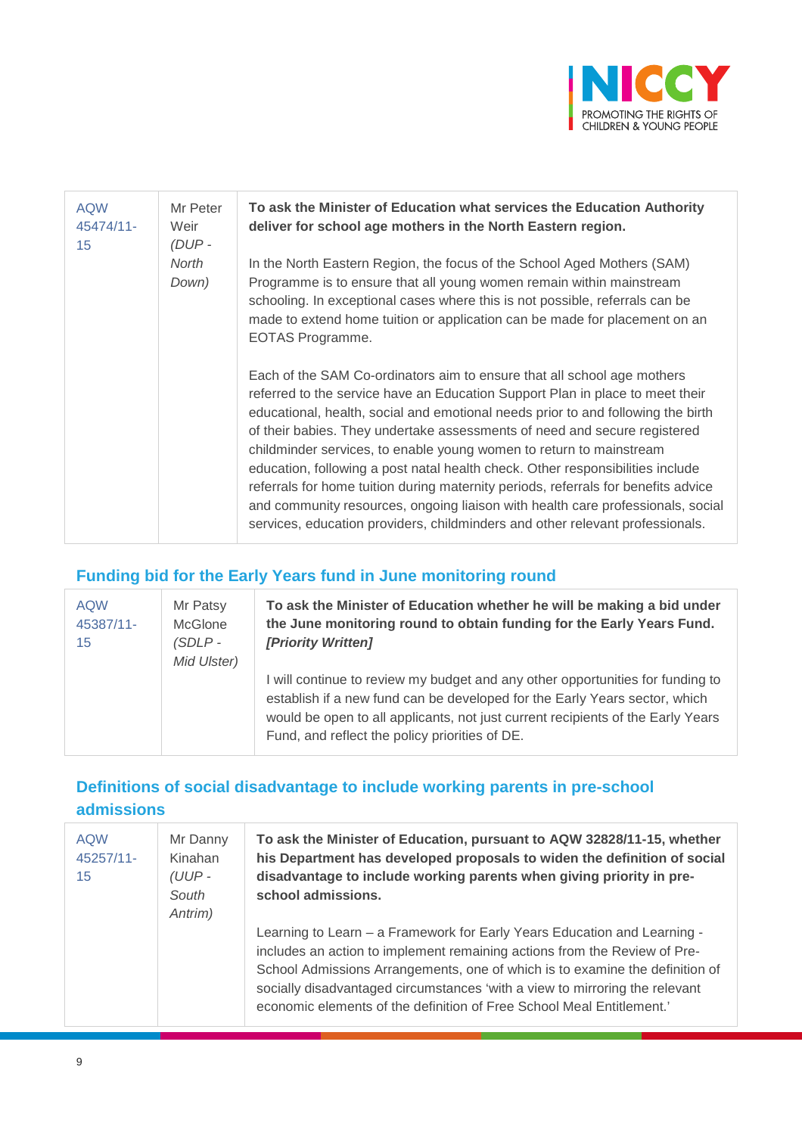

| <b>AQW</b><br>45474/11-<br>15 | Mr Peter<br>Weir<br>$(DUP -$ | To ask the Minister of Education what services the Education Authority<br>deliver for school age mothers in the North Eastern region.                                                                                                                                                                                                                                                                                                                                                                                                                                                                                                                                                                                                                                                                                                                                                                         |
|-------------------------------|------------------------------|---------------------------------------------------------------------------------------------------------------------------------------------------------------------------------------------------------------------------------------------------------------------------------------------------------------------------------------------------------------------------------------------------------------------------------------------------------------------------------------------------------------------------------------------------------------------------------------------------------------------------------------------------------------------------------------------------------------------------------------------------------------------------------------------------------------------------------------------------------------------------------------------------------------|
|                               | North<br>Down)               | In the North Eastern Region, the focus of the School Aged Mothers (SAM)<br>Programme is to ensure that all young women remain within mainstream<br>schooling. In exceptional cases where this is not possible, referrals can be<br>made to extend home tuition or application can be made for placement on an<br>EOTAS Programme.<br>Each of the SAM Co-ordinators aim to ensure that all school age mothers<br>referred to the service have an Education Support Plan in place to meet their<br>educational, health, social and emotional needs prior to and following the birth<br>of their babies. They undertake assessments of need and secure registered<br>childminder services, to enable young women to return to mainstream<br>education, following a post natal health check. Other responsibilities include<br>referrals for home tuition during maternity periods, referrals for benefits advice |
|                               |                              | and community resources, ongoing liaison with health care professionals, social<br>services, education providers, childminders and other relevant professionals.                                                                                                                                                                                                                                                                                                                                                                                                                                                                                                                                                                                                                                                                                                                                              |

# **Funding bid for the Early Years fund in June monitoring round**

| <b>AQW</b><br>45387/11-<br>15 | Mr Patsy<br><b>McGlone</b><br>(SDLP -<br>Mid Ulster) | To ask the Minister of Education whether he will be making a bid under<br>the June monitoring round to obtain funding for the Early Years Fund.<br><b>[Priority Written]</b>                                                                                                                      |
|-------------------------------|------------------------------------------------------|---------------------------------------------------------------------------------------------------------------------------------------------------------------------------------------------------------------------------------------------------------------------------------------------------|
|                               |                                                      | I will continue to review my budget and any other opportunities for funding to<br>establish if a new fund can be developed for the Early Years sector, which<br>would be open to all applicants, not just current recipients of the Early Years<br>Fund, and reflect the policy priorities of DE. |

# **Definitions of social disadvantage to include working parents in pre-school admissions**

| <b>AQW</b><br>45257/11-<br>15 | Mr Danny<br>Kinahan<br>$(UUP -$<br>South<br>Antrim) | To ask the Minister of Education, pursuant to AQW 32828/11-15, whether<br>his Department has developed proposals to widen the definition of social<br>disadvantage to include working parents when giving priority in pre-<br>school admissions.                                                                                                                                              |
|-------------------------------|-----------------------------------------------------|-----------------------------------------------------------------------------------------------------------------------------------------------------------------------------------------------------------------------------------------------------------------------------------------------------------------------------------------------------------------------------------------------|
|                               |                                                     | Learning to Learn - a Framework for Early Years Education and Learning -<br>includes an action to implement remaining actions from the Review of Pre-<br>School Admissions Arrangements, one of which is to examine the definition of<br>socially disadvantaged circumstances 'with a view to mirroring the relevant<br>economic elements of the definition of Free School Meal Entitlement.' |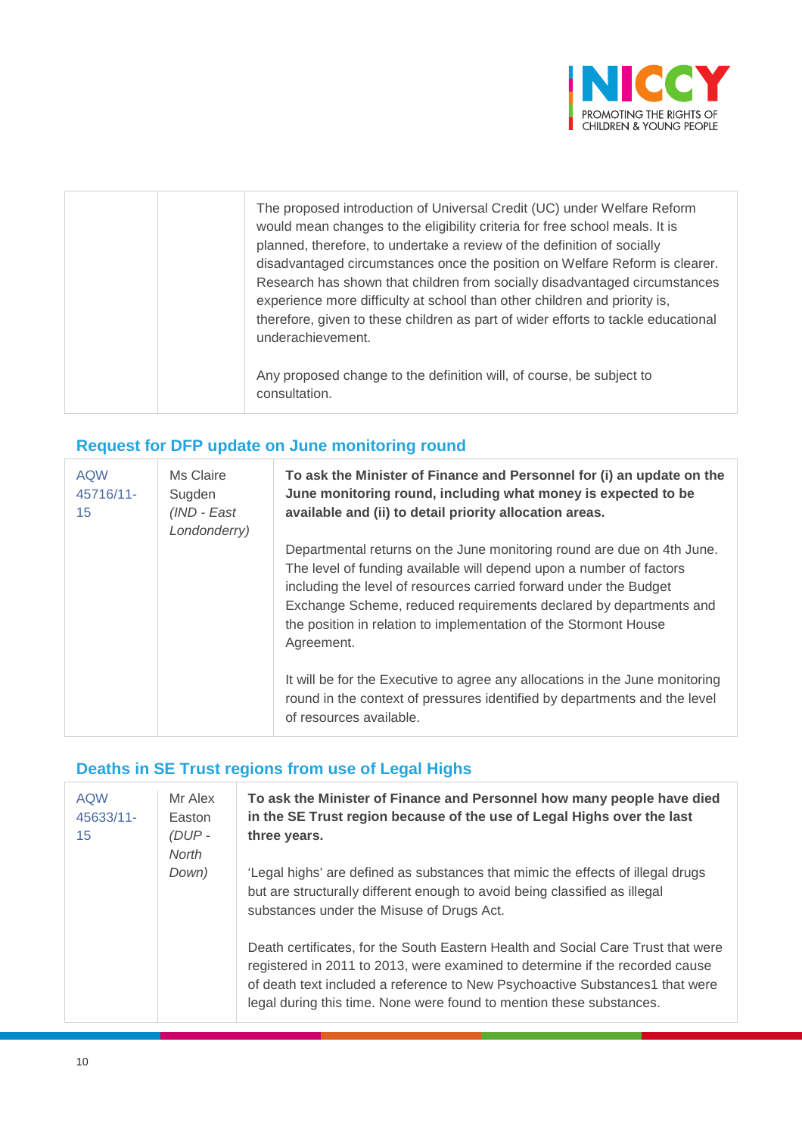

| The proposed introduction of Universal Credit (UC) under Welfare Reform<br>would mean changes to the eligibility criteria for free school meals. It is<br>planned, therefore, to undertake a review of the definition of socially<br>disadvantaged circumstances once the position on Welfare Reform is clearer.<br>Research has shown that children from socially disadvantaged circumstances<br>experience more difficulty at school than other children and priority is,<br>therefore, given to these children as part of wider efforts to tackle educational<br>underachievement. |
|---------------------------------------------------------------------------------------------------------------------------------------------------------------------------------------------------------------------------------------------------------------------------------------------------------------------------------------------------------------------------------------------------------------------------------------------------------------------------------------------------------------------------------------------------------------------------------------|
| Any proposed change to the definition will, of course, be subject to<br>consultation.                                                                                                                                                                                                                                                                                                                                                                                                                                                                                                 |

# **Request for DFP update on June monitoring round**

| <b>AQW</b><br>45716/11-<br>15 | Ms Claire<br>Sugden<br>(IND - East<br>Londonderry) | To ask the Minister of Finance and Personnel for (i) an update on the<br>June monitoring round, including what money is expected to be<br>available and (ii) to detail priority allocation areas.                                                                                                                                                                         |
|-------------------------------|----------------------------------------------------|---------------------------------------------------------------------------------------------------------------------------------------------------------------------------------------------------------------------------------------------------------------------------------------------------------------------------------------------------------------------------|
|                               |                                                    | Departmental returns on the June monitoring round are due on 4th June.<br>The level of funding available will depend upon a number of factors<br>including the level of resources carried forward under the Budget<br>Exchange Scheme, reduced requirements declared by departments and<br>the position in relation to implementation of the Stormont House<br>Agreement. |
|                               |                                                    | It will be for the Executive to agree any allocations in the June monitoring<br>round in the context of pressures identified by departments and the level<br>of resources available.                                                                                                                                                                                      |

# **Deaths in SE Trust regions from use of Legal Highs**

| <b>AQW</b><br>45633/11-<br>15 | Mr Alex<br>Easton<br>$(DUP -$<br>North | To ask the Minister of Finance and Personnel how many people have died<br>in the SE Trust region because of the use of Legal Highs over the last<br>three years.                                                                                                                                                         |
|-------------------------------|----------------------------------------|--------------------------------------------------------------------------------------------------------------------------------------------------------------------------------------------------------------------------------------------------------------------------------------------------------------------------|
|                               | Down)                                  | 'Legal highs' are defined as substances that mimic the effects of illegal drugs<br>but are structurally different enough to avoid being classified as illegal<br>substances under the Misuse of Drugs Act.                                                                                                               |
|                               |                                        | Death certificates, for the South Eastern Health and Social Care Trust that were<br>registered in 2011 to 2013, were examined to determine if the recorded cause<br>of death text included a reference to New Psychoactive Substances1 that were<br>legal during this time. None were found to mention these substances. |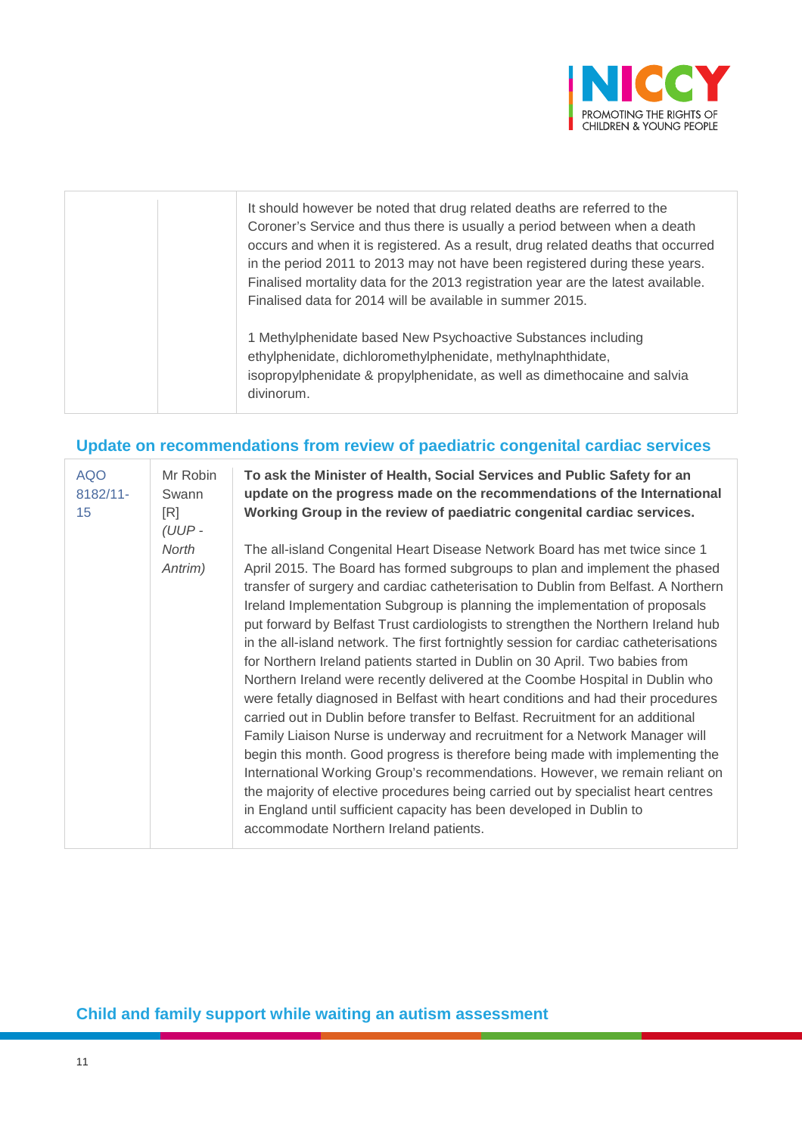

|  | It should however be noted that drug related deaths are referred to the<br>Coroner's Service and thus there is usually a period between when a death<br>occurs and when it is registered. As a result, drug related deaths that occurred<br>in the period 2011 to 2013 may not have been registered during these years.<br>Finalised mortality data for the 2013 registration year are the latest available.<br>Finalised data for 2014 will be available in summer 2015. |
|--|---------------------------------------------------------------------------------------------------------------------------------------------------------------------------------------------------------------------------------------------------------------------------------------------------------------------------------------------------------------------------------------------------------------------------------------------------------------------------|
|  | 1 Methylphenidate based New Psychoactive Substances including<br>ethylphenidate, dichloromethylphenidate, methylnaphthidate,<br>isopropylphenidate & propylphenidate, as well as dimethocaine and salvia<br>divinorum.                                                                                                                                                                                                                                                    |

# **Update on recommendations from review of paediatric congenital cardiac services**

| <b>AQO</b><br>8182/11-<br>15 | Mr Robin<br>Swann<br>[ <b>R</b> ]<br>(UUP- | To ask the Minister of Health, Social Services and Public Safety for an<br>update on the progress made on the recommendations of the International<br>Working Group in the review of paediatric congenital cardiac services.                                                                                                                                                                                                                                                                                                                                                                                                                                                                                                                                                                                                                                                                                                                                                                                                                                                                                                                                                                                                                                                                                 |  |  |  |
|------------------------------|--------------------------------------------|--------------------------------------------------------------------------------------------------------------------------------------------------------------------------------------------------------------------------------------------------------------------------------------------------------------------------------------------------------------------------------------------------------------------------------------------------------------------------------------------------------------------------------------------------------------------------------------------------------------------------------------------------------------------------------------------------------------------------------------------------------------------------------------------------------------------------------------------------------------------------------------------------------------------------------------------------------------------------------------------------------------------------------------------------------------------------------------------------------------------------------------------------------------------------------------------------------------------------------------------------------------------------------------------------------------|--|--|--|
|                              | North<br>Antrim)                           | The all-island Congenital Heart Disease Network Board has met twice since 1<br>April 2015. The Board has formed subgroups to plan and implement the phased<br>transfer of surgery and cardiac catheterisation to Dublin from Belfast. A Northern<br>Ireland Implementation Subgroup is planning the implementation of proposals<br>put forward by Belfast Trust cardiologists to strengthen the Northern Ireland hub<br>in the all-island network. The first fortnightly session for cardiac catheterisations<br>for Northern Ireland patients started in Dublin on 30 April. Two babies from<br>Northern Ireland were recently delivered at the Coombe Hospital in Dublin who<br>were fetally diagnosed in Belfast with heart conditions and had their procedures<br>carried out in Dublin before transfer to Belfast. Recruitment for an additional<br>Family Liaison Nurse is underway and recruitment for a Network Manager will<br>begin this month. Good progress is therefore being made with implementing the<br>International Working Group's recommendations. However, we remain reliant on<br>the majority of elective procedures being carried out by specialist heart centres<br>in England until sufficient capacity has been developed in Dublin to<br>accommodate Northern Ireland patients. |  |  |  |

# **Child and family support while waiting an autism assessment**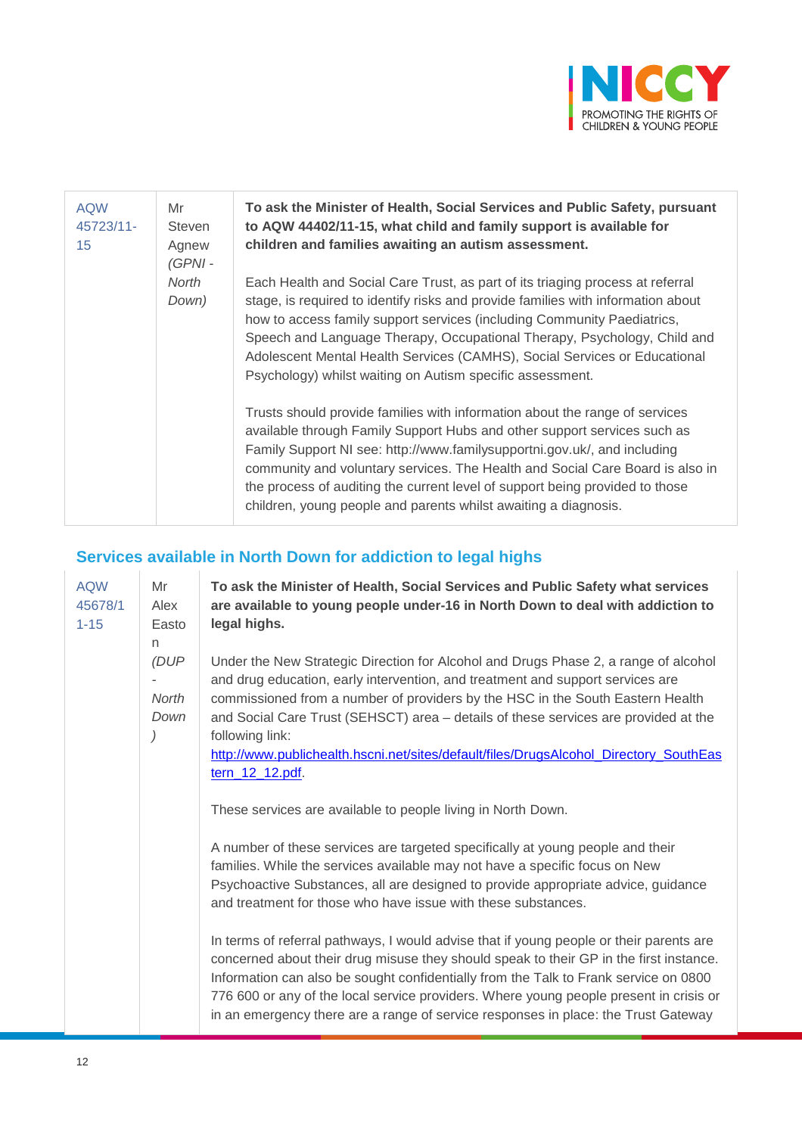

| <b>AQW</b><br>45723/11-<br>15 | Mr<br><b>Steven</b><br>Agnew<br>$(GPNI -$<br>North<br>Down) | To ask the Minister of Health, Social Services and Public Safety, pursuant<br>to AQW 44402/11-15, what child and family support is available for<br>children and families awaiting an autism assessment.                                                                                                                                                                                                                                                                |  |  |  |
|-------------------------------|-------------------------------------------------------------|-------------------------------------------------------------------------------------------------------------------------------------------------------------------------------------------------------------------------------------------------------------------------------------------------------------------------------------------------------------------------------------------------------------------------------------------------------------------------|--|--|--|
|                               |                                                             | Each Health and Social Care Trust, as part of its triaging process at referral<br>stage, is required to identify risks and provide families with information about<br>how to access family support services (including Community Paediatrics,<br>Speech and Language Therapy, Occupational Therapy, Psychology, Child and<br>Adolescent Mental Health Services (CAMHS), Social Services or Educational<br>Psychology) whilst waiting on Autism specific assessment.     |  |  |  |
|                               |                                                             | Trusts should provide families with information about the range of services<br>available through Family Support Hubs and other support services such as<br>Family Support NI see: http://www.familysupportni.gov.uk/, and including<br>community and voluntary services. The Health and Social Care Board is also in<br>the process of auditing the current level of support being provided to those<br>children, young people and parents whilst awaiting a diagnosis. |  |  |  |

# **Services available in North Down for addiction to legal highs**

| <b>AQW</b><br>45678/1<br>$1 - 15$ | Mr<br>Alex<br>Easto<br>n<br>(DUP<br><b>North</b><br>Down | To ask the Minister of Health, Social Services and Public Safety what services<br>are available to young people under-16 in North Down to deal with addiction to<br>legal highs.                                                                                                                                                                                                                                                                                              |  |  |  |
|-----------------------------------|----------------------------------------------------------|-------------------------------------------------------------------------------------------------------------------------------------------------------------------------------------------------------------------------------------------------------------------------------------------------------------------------------------------------------------------------------------------------------------------------------------------------------------------------------|--|--|--|
|                                   |                                                          | Under the New Strategic Direction for Alcohol and Drugs Phase 2, a range of alcohol<br>and drug education, early intervention, and treatment and support services are<br>commissioned from a number of providers by the HSC in the South Eastern Health<br>and Social Care Trust (SEHSCT) area - details of these services are provided at the<br>following link:<br>http://www.publichealth.hscni.net/sites/default/files/DrugsAlcohol_Directory_SouthEas<br>tern_12_12.pdf. |  |  |  |
|                                   |                                                          | These services are available to people living in North Down.                                                                                                                                                                                                                                                                                                                                                                                                                  |  |  |  |
|                                   |                                                          | A number of these services are targeted specifically at young people and their<br>families. While the services available may not have a specific focus on New<br>Psychoactive Substances, all are designed to provide appropriate advice, guidance<br>and treatment for those who have issue with these substances.                                                                                                                                                           |  |  |  |
|                                   |                                                          | In terms of referral pathways, I would advise that if young people or their parents are<br>concerned about their drug misuse they should speak to their GP in the first instance.<br>Information can also be sought confidentially from the Talk to Frank service on 0800<br>776 600 or any of the local service providers. Where young people present in crisis or<br>in an emergency there are a range of service responses in place: the Trust Gateway                     |  |  |  |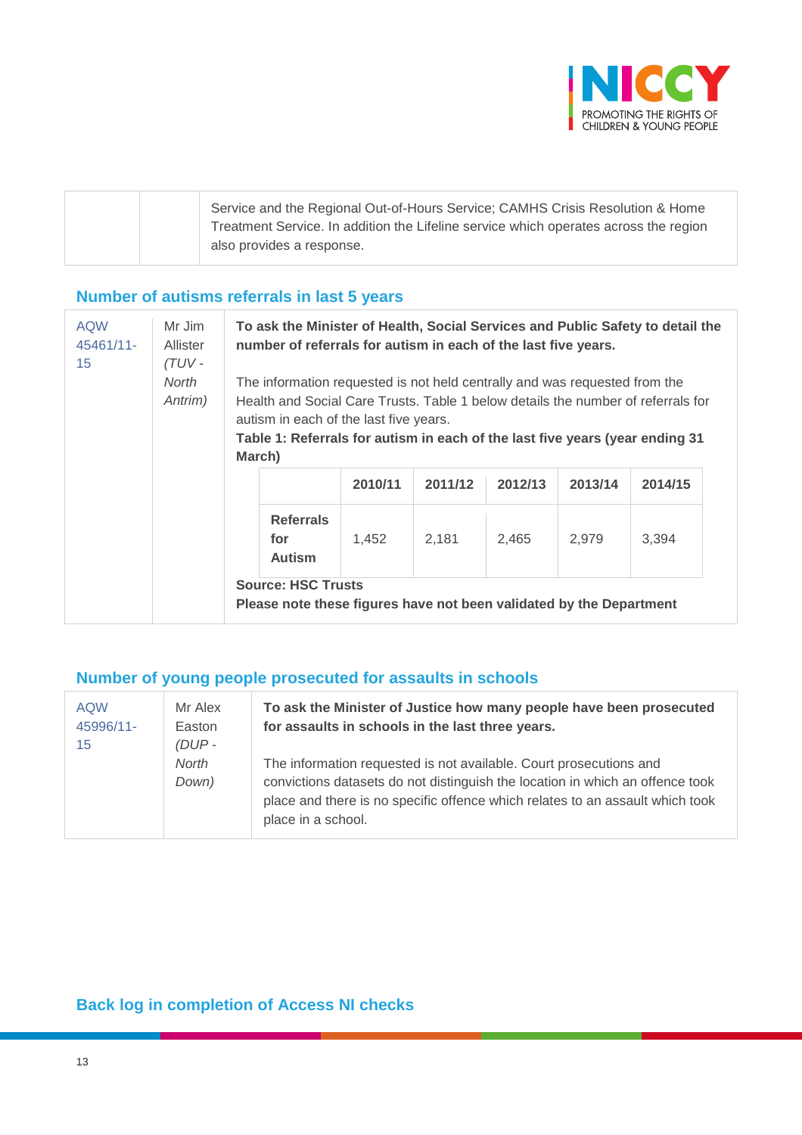

| Service and the Regional Out-of-Hours Service; CAMHS Crisis Resolution & Home        |
|--------------------------------------------------------------------------------------|
| Treatment Service. In addition the Lifeline service which operates across the region |
| also provides a response.                                                            |
|                                                                                      |

# **Number of autisms referrals in last 5 years**

| <b>AQW</b><br>45461/11-<br>15 | Mr Jim<br>Allister<br>(TUV -<br>North<br>Antrim) | To ask the Minister of Health, Social Services and Public Safety to detail the<br>number of referrals for autism in each of the last five years.                                                                                                                                                   |         |         |         |         |         |  |
|-------------------------------|--------------------------------------------------|----------------------------------------------------------------------------------------------------------------------------------------------------------------------------------------------------------------------------------------------------------------------------------------------------|---------|---------|---------|---------|---------|--|
|                               |                                                  | The information requested is not held centrally and was requested from the<br>Health and Social Care Trusts. Table 1 below details the number of referrals for<br>autism in each of the last five years.<br>Table 1: Referrals for autism in each of the last five years (year ending 31<br>March) |         |         |         |         |         |  |
|                               |                                                  |                                                                                                                                                                                                                                                                                                    | 2010/11 | 2011/12 | 2012/13 | 2013/14 | 2014/15 |  |
|                               |                                                  | <b>Referrals</b><br>for<br><b>Autism</b>                                                                                                                                                                                                                                                           | 1,452   | 2,181   | 2,465   | 2,979   | 3,394   |  |
|                               |                                                  | <b>Source: HSC Trusts</b><br>Please note these figures have not been validated by the Department                                                                                                                                                                                                   |         |         |         |         |         |  |

#### **Number of young people prosecuted for assaults in schools**

| <b>AQW</b><br>45996/11-<br>15 | Mr Alex<br>Easton<br>$(DUP -$ | To ask the Minister of Justice how many people have been prosecuted<br>for assaults in schools in the last three years.                                                                                                                                    |  |  |
|-------------------------------|-------------------------------|------------------------------------------------------------------------------------------------------------------------------------------------------------------------------------------------------------------------------------------------------------|--|--|
|                               | North<br>Down)                | The information requested is not available. Court prosecutions and<br>convictions datasets do not distinguish the location in which an offence took<br>place and there is no specific offence which relates to an assault which took<br>place in a school. |  |  |

# **Back log in completion of Access NI checks**